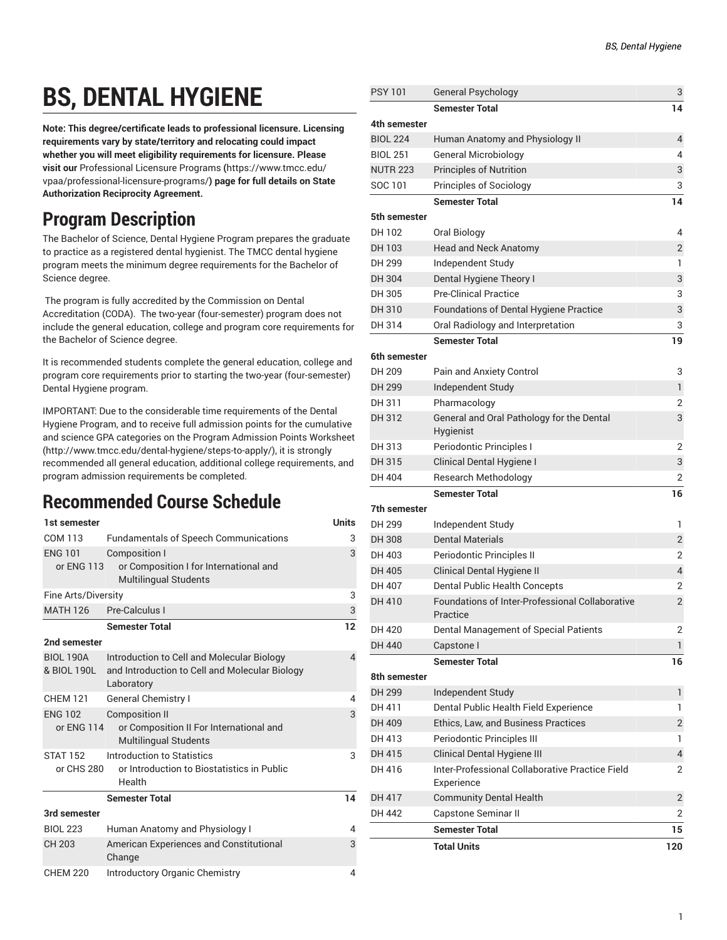# **BS, DENTAL HYGIENE**

**Note: This degree/certificate leads to professional licensure. Licensing requirements vary by state/territory and relocating could impact whether you will meet eligibility requirements for licensure. Please visit our** [Professional](https://www.tmcc.edu/vpaa/professional-licensure-programs/) Licensure Programs **(**[https://www.tmcc.edu/](https://www.tmcc.edu/vpaa/professional-licensure-programs/) [vpaa/professional-licensure-programs/](https://www.tmcc.edu/vpaa/professional-licensure-programs/)**) page for full details on State Authorization Reciprocity Agreement.**

# **Program Description**

The Bachelor of Science, Dental Hygiene Program prepares the graduate to practice as a registered dental hygienist. The TMCC dental hygiene program meets the minimum degree requirements for the Bachelor of Science degree.

The program is fully accredited by the Commission on Dental Accreditation (CODA). The two-year (four-semester) program does not include the general education, college and program core requirements for the Bachelor of Science degree.

It is recommended students complete the general education, college and program core requirements prior to starting the two-year (four-semester) Dental Hygiene program.

IMPORTANT: Due to the considerable time requirements of the Dental Hygiene Program, and to receive full admission points for the cumulative and science GPA categories on the Program Admission Points [Worksheet](http://www.tmcc.edu/dental-hygiene/steps-to-apply/) (<http://www.tmcc.edu/dental-hygiene/steps-to-apply/>), it is strongly recommended all general education, additional college requirements, and program admission requirements be completed.

## **Recommended Course Schedule**

| 1st semester                    |                                                                                                            | <b>Units</b>   |
|---------------------------------|------------------------------------------------------------------------------------------------------------|----------------|
| COM 113                         | <b>Fundamentals of Speech Communications</b>                                                               | 3              |
| <b>ENG 101</b><br>or ENG 113    | <b>Composition I</b><br>or Composition I for International and<br>Multilingual Students                    | 3              |
| Fine Arts/Diversity             |                                                                                                            |                |
| <b>MATH 126</b>                 | Pre-Calculus I                                                                                             | 3              |
|                                 | <b>Semester Total</b>                                                                                      | 12             |
| 2nd semester                    |                                                                                                            |                |
| <b>BIOL 190A</b><br>& BIOL 190L | Introduction to Cell and Molecular Biology<br>and Introduction to Cell and Molecular Biology<br>Laboratory | $\overline{4}$ |
| <b>CHEM 121</b>                 | <b>General Chemistry I</b>                                                                                 | 4              |
| <b>ENG 102</b><br>or ENG 114    | <b>Composition II</b><br>or Composition II For International and<br>Multilingual Students                  | 3              |
| <b>STAT 152</b><br>or CHS 280   | Introduction to Statistics<br>or Introduction to Biostatistics in Public<br>Health                         | 3              |
|                                 | <b>Semester Total</b>                                                                                      | 14             |
| 3rd semester                    |                                                                                                            |                |
| <b>BIOL 223</b>                 | Human Anatomy and Physiology I                                                                             | 4              |
| <b>CH 203</b>                   | American Experiences and Constitutional<br>Change                                                          | 3              |
| <b>CHEM 220</b>                 | <b>Introductory Organic Chemistry</b>                                                                      | 4              |

| PSY 101         | <b>General Psychology</b>                                     | 3              |
|-----------------|---------------------------------------------------------------|----------------|
|                 | <b>Semester Total</b>                                         | 14             |
| 4th semester    |                                                               |                |
| <b>BIOL 224</b> | Human Anatomy and Physiology II                               | 4              |
| <b>BIOL 251</b> | <b>General Microbiology</b>                                   | 4              |
| <b>NUTR 223</b> | <b>Principles of Nutrition</b>                                | 3              |
| SOC 101         | <b>Principles of Sociology</b>                                | 3              |
|                 | <b>Semester Total</b>                                         | 14             |
| 5th semester    |                                                               |                |
| DH 102          | Oral Biology                                                  | 4              |
| DH 103          | <b>Head and Neck Anatomy</b>                                  | $\overline{2}$ |
| DH 299          | Independent Study                                             | 1              |
| DH 304          | Dental Hygiene Theory I                                       | 3              |
| DH 305          | <b>Pre-Clinical Practice</b>                                  | 3              |
| DH 310          | Foundations of Dental Hygiene Practice                        | 3              |
| DH 314          | Oral Radiology and Interpretation                             | 3              |
|                 | <b>Semester Total</b>                                         | 19             |
| 6th semester    |                                                               |                |
| DH 209          | Pain and Anxiety Control                                      | 3              |
| DH 299          | Independent Study                                             | 1              |
| DH 311          | Pharmacology                                                  | 2              |
| DH 312          | General and Oral Pathology for the Dental<br>Hygienist        | 3              |
| DH 313          | Periodontic Principles I                                      | 2              |
| DH 315          | Clinical Dental Hygiene I                                     | 3              |
| DH 404          | <b>Research Methodology</b>                                   | 2              |
|                 | <b>Semester Total</b>                                         | 16             |
| 7th semester    |                                                               |                |
| DH 299          | Independent Study                                             | 1              |
| <b>DH308</b>    | <b>Dental Materials</b>                                       | $\overline{2}$ |
| DH 403          | Periodontic Principles II                                     | 2              |
| DH 405          | Clinical Dental Hygiene II                                    | $\overline{4}$ |
| DH 407          | <b>Dental Public Health Concepts</b>                          | 2              |
| DH 410          | Foundations of Inter-Professional Collaborative<br>Practice   | 2              |
| DH 420          | Dental Management of Special Patients                         | 2              |
| DH 440          | Capstone I                                                    | 1              |
|                 | <b>Semester Total</b>                                         | 16             |
| 8th semester    |                                                               |                |
| DH 299          | Independent Study                                             | 1              |
| DH 411          | Dental Public Health Field Experience                         | 1              |
| DH 409          | <b>Ethics. Law. and Business Practices</b>                    | $\overline{2}$ |
| DH 413          | Periodontic Principles III                                    | 1              |
| DH 415          | Clinical Dental Hygiene III                                   | 4              |
| DH 416          | Inter-Professional Collaborative Practice Field<br>Experience | 2              |
| DH 417          | <b>Community Dental Health</b>                                | $\overline{2}$ |
| DH 442          | Capstone Seminar II                                           | 2              |
|                 | <b>Semester Total</b>                                         | 15             |
|                 | <b>Total Units</b>                                            | 120            |
|                 |                                                               |                |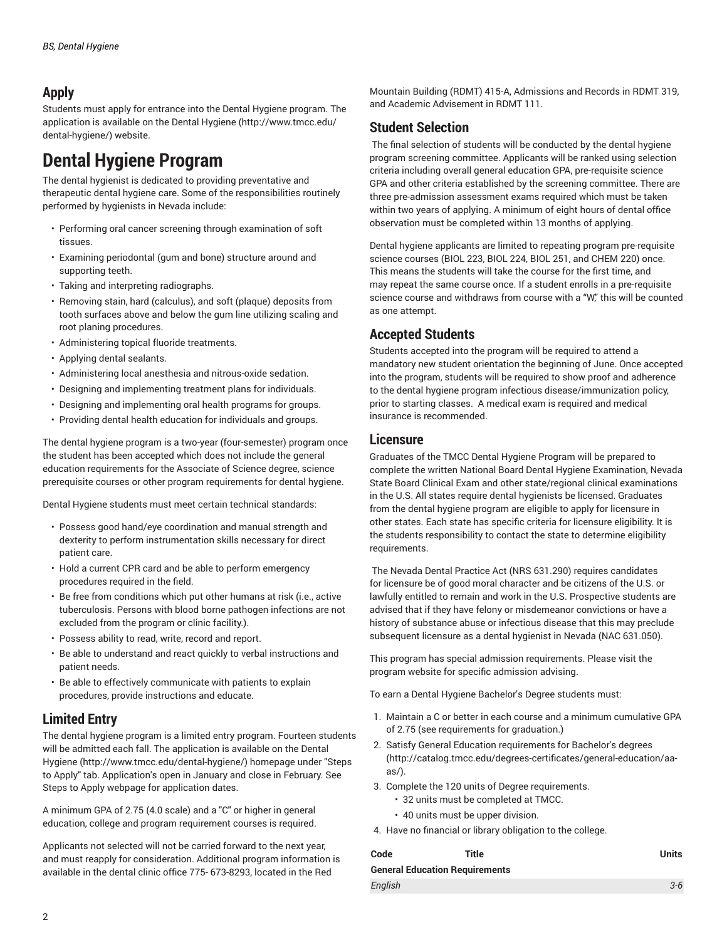#### **Apply**

Students must apply for entrance into the Dental Hygiene program. The application is available on the Dental [Hygiene](http://www.tmcc.edu/dental-hygiene/) ([http://www.tmcc.edu/](http://www.tmcc.edu/dental-hygiene/) [dental-hygiene/](http://www.tmcc.edu/dental-hygiene/)) website.

## **Dental Hygiene Program**

The dental hygienist is dedicated to providing preventative and therapeutic dental hygiene care. Some of the responsibilities routinely performed by hygienists in Nevada include:

- Performing oral cancer screening through examination of soft tissues.
- Examining periodontal (gum and bone) structure around and supporting teeth.
- Taking and interpreting radiographs.
- Removing stain, hard (calculus), and soft (plaque) deposits from tooth surfaces above and below the gum line utilizing scaling and root planing procedures.
- Administering topical fluoride treatments.
- Applying dental sealants.
- Administering local anesthesia and nitrous-oxide sedation.
- Designing and implementing treatment plans for individuals.
- Designing and implementing oral health programs for groups.
- Providing dental health education for individuals and groups.

The dental hygiene program is a two-year (four-semester) program once the student has been accepted which does not include the general education requirements for the Associate of Science degree, science prerequisite courses or other program requirements for dental hygiene.

Dental Hygiene students must meet certain technical standards:

- Possess good hand/eye coordination and manual strength and dexterity to perform instrumentation skills necessary for direct patient care.
- Hold a current CPR card and be able to perform emergency procedures required in the field.
- Be free from conditions which put other humans at risk (i.e., active tuberculosis. Persons with blood borne pathogen infections are not excluded from the program or clinic facility.).
- Possess ability to read, write, record and report.
- Be able to understand and react quickly to verbal instructions and patient needs.
- Be able to effectively communicate with patients to explain procedures, provide instructions and educate.

#### **Limited Entry**

The dental hygiene program is a limited entry program. Fourteen students will be admitted each fall. The application is available on the [Dental](http://www.tmcc.edu/dental-hygiene/) [Hygiene](http://www.tmcc.edu/dental-hygiene/) ([http://www.tmcc.edu/dental-hygiene/\)](http://www.tmcc.edu/dental-hygiene/) homepage under "Steps to Apply" tab. Application's open in January and close in February. See Steps to Apply webpage for application dates.

A minimum GPA of 2.75 (4.0 scale) and a "C" or higher in general education, college and program requirement courses is required.

Applicants not selected will not be carried forward to the next year, and must reapply for consideration. Additional program information is available in the dental clinic office 775- 673-8293, located in the Red

Mountain Building (RDMT) 415-A, Admissions and Records in RDMT 319, and Academic Advisement in RDMT 111.

#### **Student Selection**

The final selection of students will be conducted by the dental hygiene program screening committee. Applicants will be ranked using selection criteria including overall general education GPA, pre-requisite science GPA and other criteria established by the screening committee. There are three pre-admission assessment exams required which must be taken within two years of applying. A minimum of eight hours of dental office observation must be completed within 13 months of applying.

Dental hygiene applicants are limited to repeating program pre-requisite science courses [\(BIOL 223,](/search/?P=BIOL%20223) [BIOL 224](/search/?P=BIOL%20224), [BIOL 251](/search/?P=BIOL%20251), and [CHEM 220](/search/?P=CHEM%20220)) once. This means the students will take the course for the first time, and may repeat the same course once. If a student enrolls in a pre-requisite science course and withdraws from course with a "W" this will be counted as one attempt.

#### **Accepted Students**

Students accepted into the program will be required to attend a mandatory new student orientation the beginning of June. Once accepted into the program, students will be required to show proof and adherence to the dental hygiene program infectious disease/immunization policy, prior to starting classes. A medical exam is required and medical insurance is recommended.

#### **Licensure**

Graduates of the TMCC Dental Hygiene Program will be prepared to complete the written National Board Dental Hygiene Examination, Nevada State Board Clinical Exam and other state/regional clinical examinations in the U.S. All states require dental hygienists be licensed. Graduates from the dental hygiene program are eligible to apply for licensure in other states. Each state has specific criteria for licensure eligibility. It is the students responsibility to contact the state to determine eligibility requirements.

The Nevada Dental Practice Act (NRS 631.290) requires candidates for licensure be of good moral character and be citizens of the U.S. or lawfully entitled to remain and work in the U.S. Prospective students are advised that if they have felony or misdemeanor convictions or have a history of substance abuse or infectious disease that this may preclude subsequent licensure as a dental hygienist in Nevada (NAC 631.050).

This program has special admission requirements. Please visit the program website for specific admission advising.

To earn a Dental Hygiene Bachelor's Degree students must:

- 1. Maintain a C or better in each course and a minimum cumulative GPA of 2.75 (see requirements for graduation.)
- 2. Satisfy General Education [requirements](http://catalog.tmcc.edu/degrees-certificates/general-education/aa-as/) for Bachelor's degrees [\(http://catalog.tmcc.edu/degrees-certificates/general-education/aa](http://catalog.tmcc.edu/degrees-certificates/general-education/aa-as/)[as/](http://catalog.tmcc.edu/degrees-certificates/general-education/aa-as/)).
- 3. Complete the 120 units of Degree requirements.
	- 32 units must be completed at TMCC.
	- 40 units must be upper division.
- 4. Have no financial or library obligation to the college.

| Code                                  | Title | Units   |
|---------------------------------------|-------|---------|
| <b>General Education Requirements</b> |       |         |
| English                               |       | $3 - 6$ |